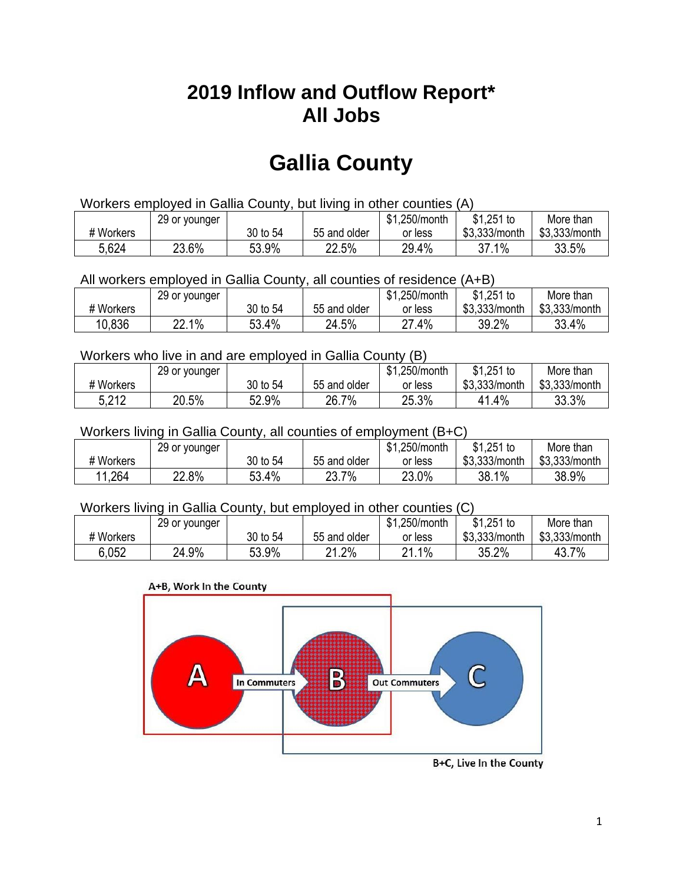## **2019 Inflow and Outflow Report\* All Jobs**

# **Gallia County**

| Workers employed in Gallia County, but living in other counties (A) |                                                           |          |              |         |               |               |  |  |  |
|---------------------------------------------------------------------|-----------------------------------------------------------|----------|--------------|---------|---------------|---------------|--|--|--|
|                                                                     | \$1.251 to<br>\$1.250/month<br>More than<br>29 or younger |          |              |         |               |               |  |  |  |
| # Workers                                                           |                                                           | 30 to 54 | 55 and older | or less | \$3.333/month | \$3,333/month |  |  |  |
| 5,624                                                               | 23.6%                                                     | 53.9%    | 22.5%        | 29.4%   | 37.1%         | 33.5%         |  |  |  |

All workers employed in Gallia County, all counties of residence (A+B)

|           | 29 or younger |          |              | \$1,250/month     | \$1,251 to    | More than     |
|-----------|---------------|----------|--------------|-------------------|---------------|---------------|
| # Workers |               | 30 to 54 | 55 and older | or less           | \$3,333/month | \$3,333/month |
| 10,836    | 22.1%         | 53.4%    | 24.5%        | $.4\%$<br>רח<br>۷ | 39.2%         | 33.4%         |

#### Workers who live in and are employed in Gallia County (B)

|           | 29 or younger |          |              | \$1,250/month | $$1,251$ to   | More than     |
|-----------|---------------|----------|--------------|---------------|---------------|---------------|
| # Workers |               | 30 to 54 | 55 and older | or less       | \$3,333/month | \$3,333/month |
| 5,212     | 20.5%         | 52.9%    | 26.7%        | 25.3%         | 1.4%          | 33.3%         |

#### Workers living in Gallia County, all counties of employment (B+C)

|           | 29 or younger |          |              | \$1,250/month | $$1,251$ to   | More than     |
|-----------|---------------|----------|--------------|---------------|---------------|---------------|
| # Workers |               | 30 to 54 | 55 and older | or less       | \$3,333/month | \$3,333/month |
| 11,264    | 22.8%         | 53.4%    | 23.7%        | 23.0%         | 38.1%         | 38.9%         |

#### Workers living in Gallia County, but employed in other counties (C)

|           | 29 or younger |          |              | \$1,250/month | $$1,251$ to   | More than     |
|-----------|---------------|----------|--------------|---------------|---------------|---------------|
| # Workers |               | 30 to 54 | 55 and older | or less       | \$3,333/month | \$3,333/month |
| 6.052     | 24.9%         | 53.9%    | 21.2%        | $1\%$<br>ດ 4  | 35.2%         | 43.7%         |

#### A+B, Work In the County